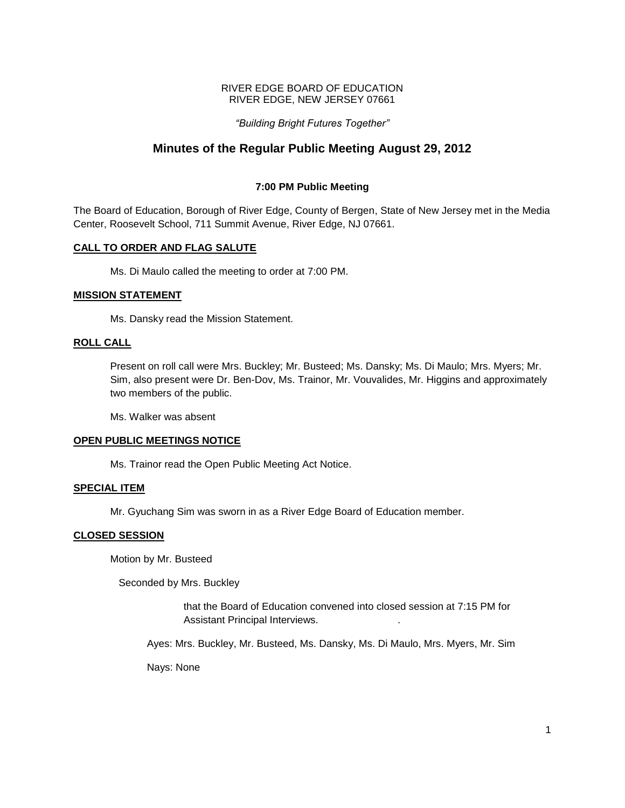### RIVER EDGE BOARD OF EDUCATION RIVER EDGE, NEW JERSEY 07661

# *"Building Bright Futures Together"*

# **Minutes of the Regular Public Meeting August 29, 2012**

# **7:00 PM Public Meeting**

The Board of Education, Borough of River Edge, County of Bergen, State of New Jersey met in the Media Center, Roosevelt School, 711 Summit Avenue, River Edge, NJ 07661.

# **CALL TO ORDER AND FLAG SALUTE**

Ms. Di Maulo called the meeting to order at 7:00 PM.

# **MISSION STATEMENT**

Ms. Dansky read the Mission Statement.

# **ROLL CALL**

Present on roll call were Mrs. Buckley; Mr. Busteed; Ms. Dansky; Ms. Di Maulo; Mrs. Myers; Mr. Sim, also present were Dr. Ben-Dov, Ms. Trainor, Mr. Vouvalides, Mr. Higgins and approximately two members of the public.

Ms. Walker was absent

# **OPEN PUBLIC MEETINGS NOTICE**

Ms. Trainor read the Open Public Meeting Act Notice.

### **SPECIAL ITEM**

Mr. Gyuchang Sim was sworn in as a River Edge Board of Education member.

# **CLOSED SESSION**

Motion by Mr. Busteed

Seconded by Mrs. Buckley

that the Board of Education convened into closed session at 7:15 PM for Assistant Principal Interviews. .

Ayes: Mrs. Buckley, Mr. Busteed, Ms. Dansky, Ms. Di Maulo, Mrs. Myers, Mr. Sim

Nays: None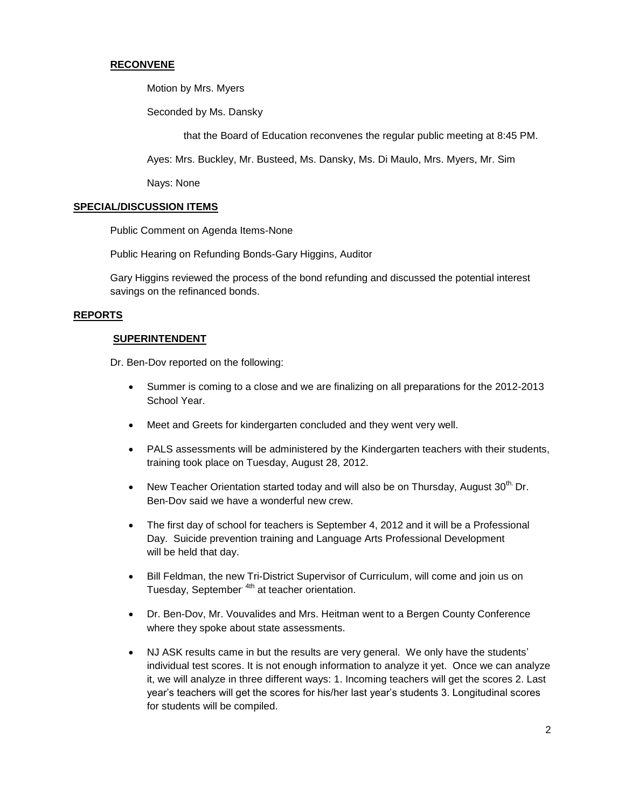# **RECONVENE**

Motion by Mrs. Myers

Seconded by Ms. Dansky

that the Board of Education reconvenes the regular public meeting at 8:45 PM.

Ayes: Mrs. Buckley, Mr. Busteed, Ms. Dansky, Ms. Di Maulo, Mrs. Myers, Mr. Sim

Nays: None

### **SPECIAL/DISCUSSION ITEMS**

Public Comment on Agenda Items-None

Public Hearing on Refunding Bonds-Gary Higgins, Auditor

Gary Higgins reviewed the process of the bond refunding and discussed the potential interest savings on the refinanced bonds.

#### **REPORTS**

#### **SUPERINTENDENT**

Dr. Ben-Dov reported on the following:

- Summer is coming to a close and we are finalizing on all preparations for the 2012-2013 School Year.
- Meet and Greets for kindergarten concluded and they went very well.
- PALS assessments will be administered by the Kindergarten teachers with their students, training took place on Tuesday, August 28, 2012.
- New Teacher Orientation started today and will also be on Thursday, August  $30^{\text{th}}$  Dr. Ben-Dov said we have a wonderful new crew.
- The first day of school for teachers is September 4, 2012 and it will be a Professional Day. Suicide prevention training and Language Arts Professional Development will be held that day.
- Bill Feldman, the new Tri-District Supervisor of Curriculum, will come and join us on Tuesday, September<sup>4th</sup> at teacher orientation.
- Dr. Ben-Dov, Mr. Vouvalides and Mrs. Heitman went to a Bergen County Conference where they spoke about state assessments.
- NJ ASK results came in but the results are very general. We only have the students' individual test scores. It is not enough information to analyze it yet. Once we can analyze it, we will analyze in three different ways: 1. Incoming teachers will get the scores 2. Last year's teachers will get the scores for his/her last year's students 3. Longitudinal scores for students will be compiled.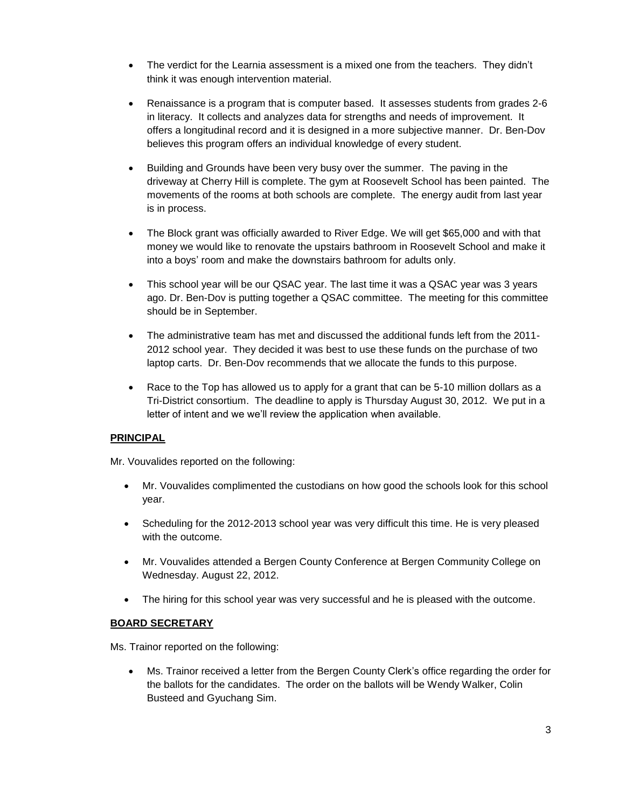- The verdict for the Learnia assessment is a mixed one from the teachers. They didn't think it was enough intervention material.
- Renaissance is a program that is computer based. It assesses students from grades 2-6 in literacy. It collects and analyzes data for strengths and needs of improvement. It offers a longitudinal record and it is designed in a more subjective manner. Dr. Ben-Dov believes this program offers an individual knowledge of every student.
- Building and Grounds have been very busy over the summer. The paving in the driveway at Cherry Hill is complete. The gym at Roosevelt School has been painted. The movements of the rooms at both schools are complete. The energy audit from last year is in process.
- The Block grant was officially awarded to River Edge. We will get \$65,000 and with that money we would like to renovate the upstairs bathroom in Roosevelt School and make it into a boys' room and make the downstairs bathroom for adults only.
- This school year will be our QSAC year. The last time it was a QSAC year was 3 years ago. Dr. Ben-Dov is putting together a QSAC committee. The meeting for this committee should be in September.
- The administrative team has met and discussed the additional funds left from the 2011- 2012 school year. They decided it was best to use these funds on the purchase of two laptop carts. Dr. Ben-Dov recommends that we allocate the funds to this purpose.
- Race to the Top has allowed us to apply for a grant that can be 5-10 million dollars as a Tri-District consortium. The deadline to apply is Thursday August 30, 2012. We put in a letter of intent and we we'll review the application when available.

# **PRINCIPAL**

Mr. Vouvalides reported on the following:

- Mr. Vouvalides complimented the custodians on how good the schools look for this school year.
- Scheduling for the 2012-2013 school year was very difficult this time. He is very pleased with the outcome.
- Mr. Vouvalides attended a Bergen County Conference at Bergen Community College on Wednesday. August 22, 2012.
- The hiring for this school year was very successful and he is pleased with the outcome.

# **BOARD SECRETARY**

Ms. Trainor reported on the following:

 Ms. Trainor received a letter from the Bergen County Clerk's office regarding the order for the ballots for the candidates. The order on the ballots will be Wendy Walker, Colin Busteed and Gyuchang Sim.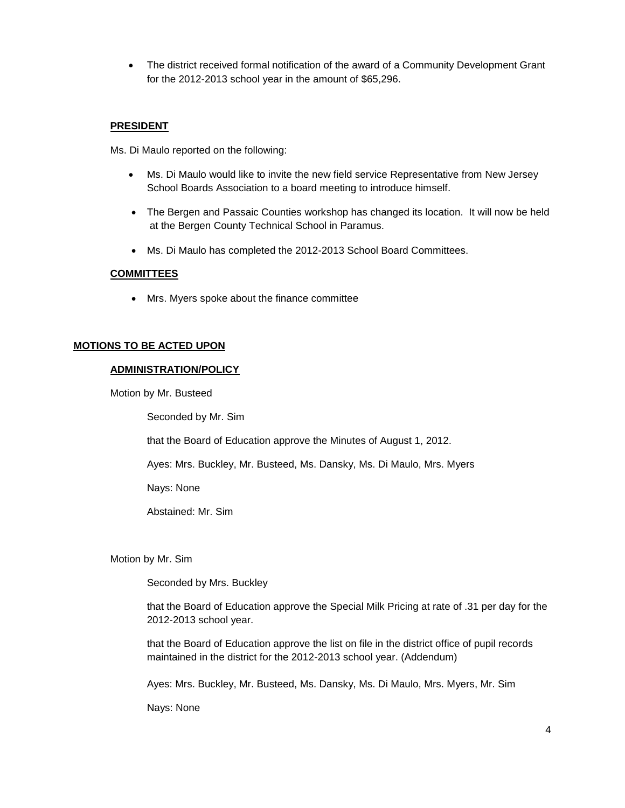The district received formal notification of the award of a Community Development Grant for the 2012-2013 school year in the amount of \$65,296.

# **PRESIDENT**

Ms. Di Maulo reported on the following:

- Ms. Di Maulo would like to invite the new field service Representative from New Jersey School Boards Association to a board meeting to introduce himself.
- The Bergen and Passaic Counties workshop has changed its location. It will now be held at the Bergen County Technical School in Paramus.
- Ms. Di Maulo has completed the 2012-2013 School Board Committees.

# **COMMITTEES**

Mrs. Myers spoke about the finance committee

# **MOTIONS TO BE ACTED UPON**

### **ADMINISTRATION/POLICY**

Motion by Mr. Busteed

Seconded by Mr. Sim

that the Board of Education approve the Minutes of August 1, 2012.

Ayes: Mrs. Buckley, Mr. Busteed, Ms. Dansky, Ms. Di Maulo, Mrs. Myers

Nays: None

Abstained: Mr. Sim

Motion by Mr. Sim

Seconded by Mrs. Buckley

that the Board of Education approve the Special Milk Pricing at rate of .31 per day for the 2012-2013 school year.

that the Board of Education approve the list on file in the district office of pupil records maintained in the district for the 2012-2013 school year. (Addendum)

Ayes: Mrs. Buckley, Mr. Busteed, Ms. Dansky, Ms. Di Maulo, Mrs. Myers, Mr. Sim

Nays: None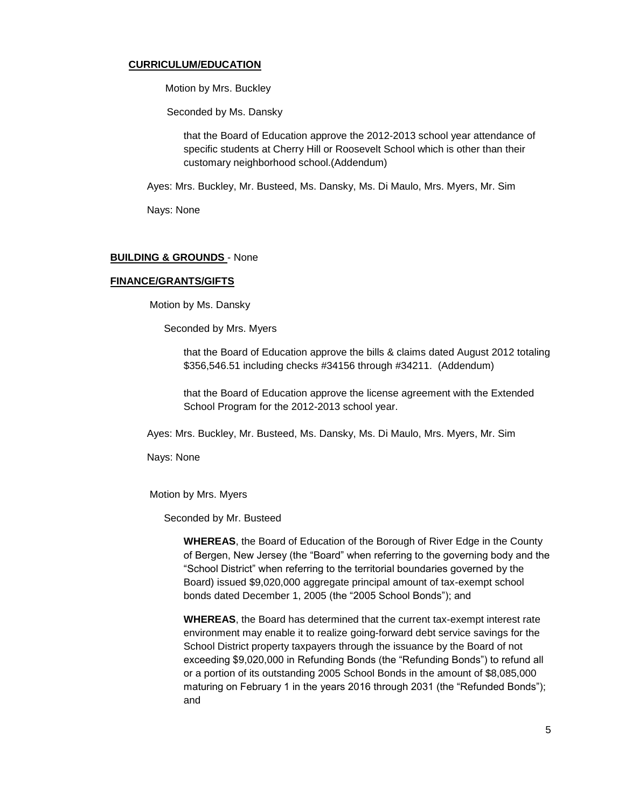### **CURRICULUM/EDUCATION**

Motion by Mrs. Buckley

Seconded by Ms. Dansky

that the Board of Education approve the 2012-2013 school year attendance of specific students at Cherry Hill or Roosevelt School which is other than their customary neighborhood school.(Addendum)

Ayes: Mrs. Buckley, Mr. Busteed, Ms. Dansky, Ms. Di Maulo, Mrs. Myers, Mr. Sim

Nays: None

### **BUILDING & GROUNDS** - None

#### **FINANCE/GRANTS/GIFTS**

Motion by Ms. Dansky

Seconded by Mrs. Myers

that the Board of Education approve the bills & claims dated August 2012 totaling \$356,546.51 including checks #34156 through #34211. (Addendum)

that the Board of Education approve the license agreement with the Extended School Program for the 2012-2013 school year.

Ayes: Mrs. Buckley, Mr. Busteed, Ms. Dansky, Ms. Di Maulo, Mrs. Myers, Mr. Sim

Nays: None

Motion by Mrs. Myers

Seconded by Mr. Busteed

**WHEREAS**, the Board of Education of the Borough of River Edge in the County of Bergen, New Jersey (the "Board" when referring to the governing body and the "School District" when referring to the territorial boundaries governed by the Board) issued \$9,020,000 aggregate principal amount of tax-exempt school bonds dated December 1, 2005 (the "2005 School Bonds"); and

**WHEREAS**, the Board has determined that the current tax-exempt interest rate environment may enable it to realize going-forward debt service savings for the School District property taxpayers through the issuance by the Board of not exceeding \$9,020,000 in Refunding Bonds (the "Refunding Bonds") to refund all or a portion of its outstanding 2005 School Bonds in the amount of \$8,085,000 maturing on February 1 in the years 2016 through 2031 (the "Refunded Bonds"); and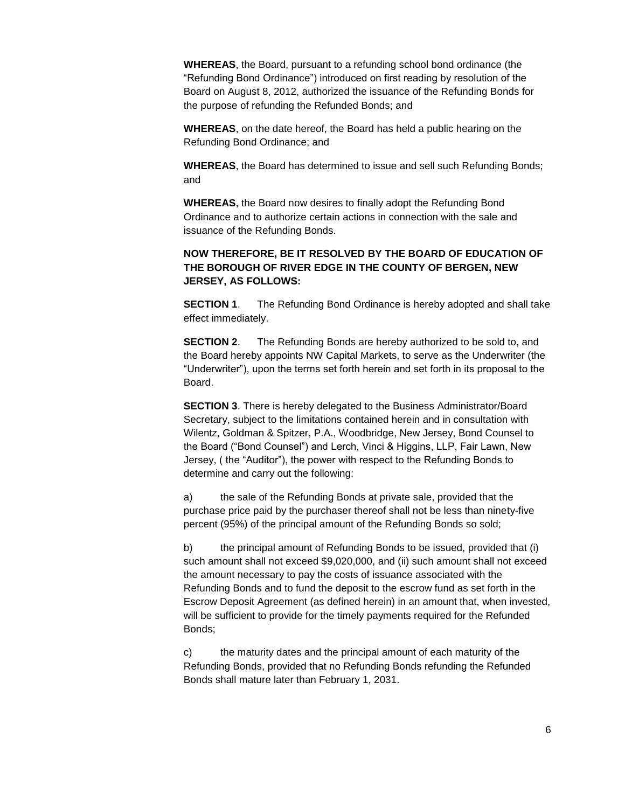**WHEREAS**, the Board, pursuant to a refunding school bond ordinance (the "Refunding Bond Ordinance") introduced on first reading by resolution of the Board on August 8, 2012, authorized the issuance of the Refunding Bonds for the purpose of refunding the Refunded Bonds; and

**WHEREAS**, on the date hereof, the Board has held a public hearing on the Refunding Bond Ordinance; and

**WHEREAS**, the Board has determined to issue and sell such Refunding Bonds; and

**WHEREAS**, the Board now desires to finally adopt the Refunding Bond Ordinance and to authorize certain actions in connection with the sale and issuance of the Refunding Bonds.

# **NOW THEREFORE, BE IT RESOLVED BY THE BOARD OF EDUCATION OF THE BOROUGH OF RIVER EDGE IN THE COUNTY OF BERGEN, NEW JERSEY, AS FOLLOWS:**

**SECTION 1**. The Refunding Bond Ordinance is hereby adopted and shall take effect immediately.

**SECTION 2**. The Refunding Bonds are hereby authorized to be sold to, and the Board hereby appoints NW Capital Markets, to serve as the Underwriter (the "Underwriter"), upon the terms set forth herein and set forth in its proposal to the Board.

**SECTION 3**. There is hereby delegated to the Business Administrator/Board Secretary, subject to the limitations contained herein and in consultation with Wilentz, Goldman & Spitzer, P.A., Woodbridge, New Jersey, Bond Counsel to the Board ("Bond Counsel") and Lerch, Vinci & Higgins, LLP, Fair Lawn, New Jersey, ( the "Auditor"), the power with respect to the Refunding Bonds to determine and carry out the following:

a) the sale of the Refunding Bonds at private sale, provided that the purchase price paid by the purchaser thereof shall not be less than ninety-five percent (95%) of the principal amount of the Refunding Bonds so sold;

b) the principal amount of Refunding Bonds to be issued, provided that (i) such amount shall not exceed \$9,020,000, and (ii) such amount shall not exceed the amount necessary to pay the costs of issuance associated with the Refunding Bonds and to fund the deposit to the escrow fund as set forth in the Escrow Deposit Agreement (as defined herein) in an amount that, when invested, will be sufficient to provide for the timely payments required for the Refunded Bonds;

c) the maturity dates and the principal amount of each maturity of the Refunding Bonds, provided that no Refunding Bonds refunding the Refunded Bonds shall mature later than February 1, 2031.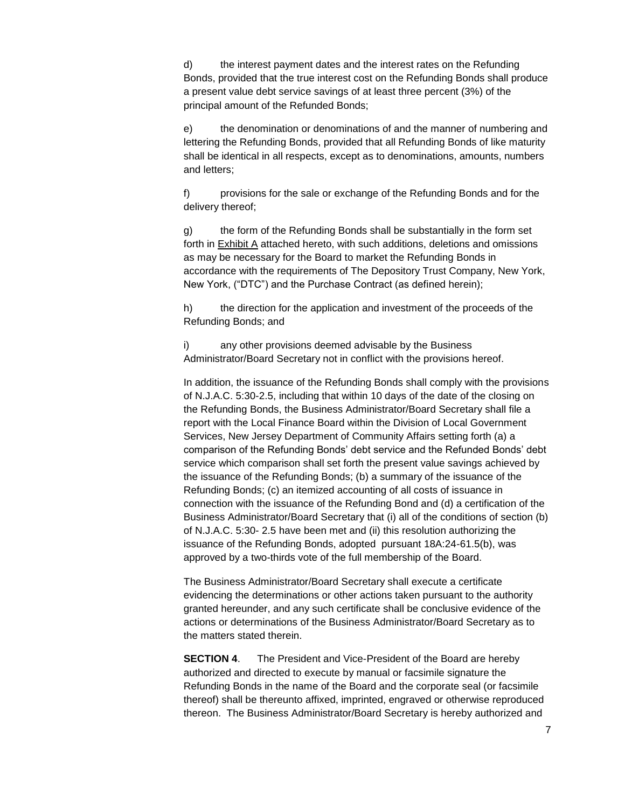d) the interest payment dates and the interest rates on the Refunding Bonds, provided that the true interest cost on the Refunding Bonds shall produce a present value debt service savings of at least three percent (3%) of the principal amount of the Refunded Bonds;

e) the denomination or denominations of and the manner of numbering and lettering the Refunding Bonds, provided that all Refunding Bonds of like maturity shall be identical in all respects, except as to denominations, amounts, numbers and letters;

f) provisions for the sale or exchange of the Refunding Bonds and for the delivery thereof;

g) the form of the Refunding Bonds shall be substantially in the form set forth in Exhibit A attached hereto, with such additions, deletions and omissions as may be necessary for the Board to market the Refunding Bonds in accordance with the requirements of The Depository Trust Company, New York, New York, ("DTC") and the Purchase Contract (as defined herein);

h) the direction for the application and investment of the proceeds of the Refunding Bonds; and

i) any other provisions deemed advisable by the Business Administrator/Board Secretary not in conflict with the provisions hereof.

In addition, the issuance of the Refunding Bonds shall comply with the provisions of N.J.A.C. 5:30-2.5, including that within 10 days of the date of the closing on the Refunding Bonds, the Business Administrator/Board Secretary shall file a report with the Local Finance Board within the Division of Local Government Services, New Jersey Department of Community Affairs setting forth (a) a comparison of the Refunding Bonds' debt service and the Refunded Bonds' debt service which comparison shall set forth the present value savings achieved by the issuance of the Refunding Bonds; (b) a summary of the issuance of the Refunding Bonds; (c) an itemized accounting of all costs of issuance in connection with the issuance of the Refunding Bond and (d) a certification of the Business Administrator/Board Secretary that (i) all of the conditions of section (b) of N.J.A.C. 5:30- 2.5 have been met and (ii) this resolution authorizing the issuance of the Refunding Bonds, adopted pursuant 18A:24-61.5(b), was approved by a two-thirds vote of the full membership of the Board.

The Business Administrator/Board Secretary shall execute a certificate evidencing the determinations or other actions taken pursuant to the authority granted hereunder, and any such certificate shall be conclusive evidence of the actions or determinations of the Business Administrator/Board Secretary as to the matters stated therein.

**SECTION 4.** The President and Vice-President of the Board are hereby authorized and directed to execute by manual or facsimile signature the Refunding Bonds in the name of the Board and the corporate seal (or facsimile thereof) shall be thereunto affixed, imprinted, engraved or otherwise reproduced thereon. The Business Administrator/Board Secretary is hereby authorized and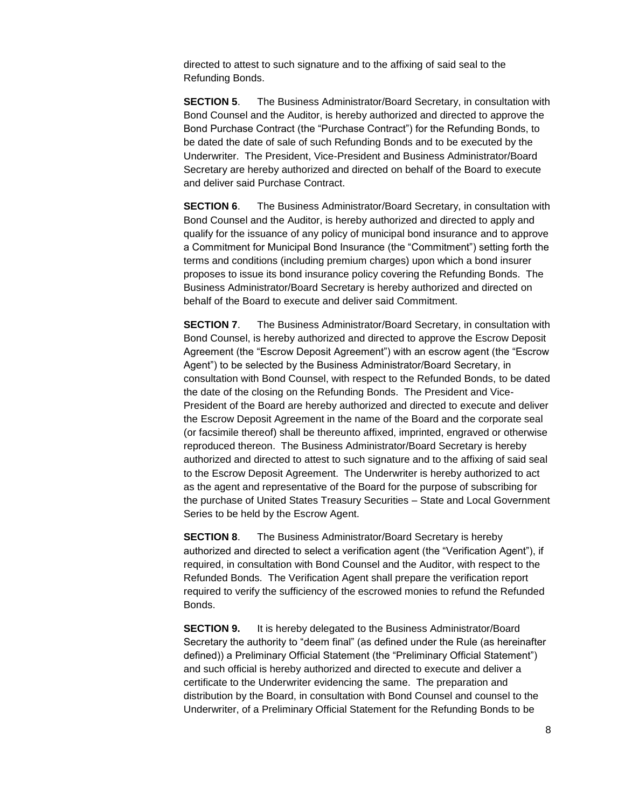directed to attest to such signature and to the affixing of said seal to the Refunding Bonds.

**SECTION 5**. The Business Administrator/Board Secretary, in consultation with Bond Counsel and the Auditor, is hereby authorized and directed to approve the Bond Purchase Contract (the "Purchase Contract") for the Refunding Bonds, to be dated the date of sale of such Refunding Bonds and to be executed by the Underwriter. The President, Vice-President and Business Administrator/Board Secretary are hereby authorized and directed on behalf of the Board to execute and deliver said Purchase Contract.

**SECTION 6**. The Business Administrator/Board Secretary, in consultation with Bond Counsel and the Auditor, is hereby authorized and directed to apply and qualify for the issuance of any policy of municipal bond insurance and to approve a Commitment for Municipal Bond Insurance (the "Commitment") setting forth the terms and conditions (including premium charges) upon which a bond insurer proposes to issue its bond insurance policy covering the Refunding Bonds. The Business Administrator/Board Secretary is hereby authorized and directed on behalf of the Board to execute and deliver said Commitment.

**SECTION 7.** The Business Administrator/Board Secretary, in consultation with Bond Counsel, is hereby authorized and directed to approve the Escrow Deposit Agreement (the "Escrow Deposit Agreement") with an escrow agent (the "Escrow Agent") to be selected by the Business Administrator/Board Secretary, in consultation with Bond Counsel, with respect to the Refunded Bonds, to be dated the date of the closing on the Refunding Bonds. The President and Vice-President of the Board are hereby authorized and directed to execute and deliver the Escrow Deposit Agreement in the name of the Board and the corporate seal (or facsimile thereof) shall be thereunto affixed, imprinted, engraved or otherwise reproduced thereon. The Business Administrator/Board Secretary is hereby authorized and directed to attest to such signature and to the affixing of said seal to the Escrow Deposit Agreement. The Underwriter is hereby authorized to act as the agent and representative of the Board for the purpose of subscribing for the purchase of United States Treasury Securities – State and Local Government Series to be held by the Escrow Agent.

**SECTION 8**. The Business Administrator/Board Secretary is hereby authorized and directed to select a verification agent (the "Verification Agent"), if required, in consultation with Bond Counsel and the Auditor, with respect to the Refunded Bonds. The Verification Agent shall prepare the verification report required to verify the sufficiency of the escrowed monies to refund the Refunded Bonds.

**SECTION 9.** It is hereby delegated to the Business Administrator/Board Secretary the authority to "deem final" (as defined under the Rule (as hereinafter defined)) a Preliminary Official Statement (the "Preliminary Official Statement") and such official is hereby authorized and directed to execute and deliver a certificate to the Underwriter evidencing the same. The preparation and distribution by the Board, in consultation with Bond Counsel and counsel to the Underwriter, of a Preliminary Official Statement for the Refunding Bonds to be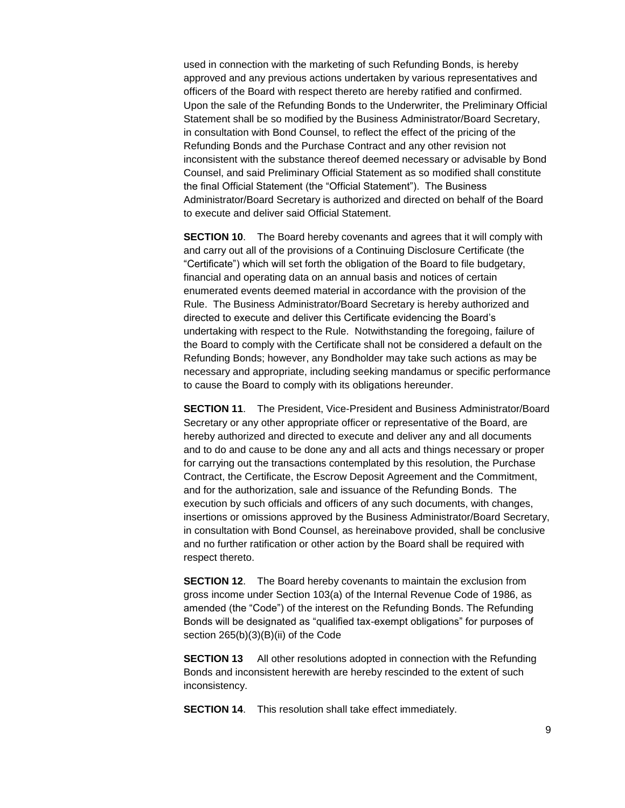used in connection with the marketing of such Refunding Bonds, is hereby approved and any previous actions undertaken by various representatives and officers of the Board with respect thereto are hereby ratified and confirmed. Upon the sale of the Refunding Bonds to the Underwriter, the Preliminary Official Statement shall be so modified by the Business Administrator/Board Secretary, in consultation with Bond Counsel, to reflect the effect of the pricing of the Refunding Bonds and the Purchase Contract and any other revision not inconsistent with the substance thereof deemed necessary or advisable by Bond Counsel, and said Preliminary Official Statement as so modified shall constitute the final Official Statement (the "Official Statement"). The Business Administrator/Board Secretary is authorized and directed on behalf of the Board to execute and deliver said Official Statement.

**SECTION 10**. The Board hereby covenants and agrees that it will comply with and carry out all of the provisions of a Continuing Disclosure Certificate (the "Certificate") which will set forth the obligation of the Board to file budgetary, financial and operating data on an annual basis and notices of certain enumerated events deemed material in accordance with the provision of the Rule. The Business Administrator/Board Secretary is hereby authorized and directed to execute and deliver this Certificate evidencing the Board's undertaking with respect to the Rule. Notwithstanding the foregoing, failure of the Board to comply with the Certificate shall not be considered a default on the Refunding Bonds; however, any Bondholder may take such actions as may be necessary and appropriate, including seeking mandamus or specific performance to cause the Board to comply with its obligations hereunder.

**SECTION 11**. The President, Vice-President and Business Administrator/Board Secretary or any other appropriate officer or representative of the Board, are hereby authorized and directed to execute and deliver any and all documents and to do and cause to be done any and all acts and things necessary or proper for carrying out the transactions contemplated by this resolution, the Purchase Contract, the Certificate, the Escrow Deposit Agreement and the Commitment, and for the authorization, sale and issuance of the Refunding Bonds. The execution by such officials and officers of any such documents, with changes, insertions or omissions approved by the Business Administrator/Board Secretary, in consultation with Bond Counsel, as hereinabove provided, shall be conclusive and no further ratification or other action by the Board shall be required with respect thereto.

**SECTION 12.** The Board hereby covenants to maintain the exclusion from gross income under Section 103(a) of the Internal Revenue Code of 1986, as amended (the "Code") of the interest on the Refunding Bonds. The Refunding Bonds will be designated as "qualified tax-exempt obligations" for purposes of section 265(b)(3)(B)(ii) of the Code

**SECTION 13** All other resolutions adopted in connection with the Refunding Bonds and inconsistent herewith are hereby rescinded to the extent of such inconsistency.

**SECTION 14.** This resolution shall take effect immediately.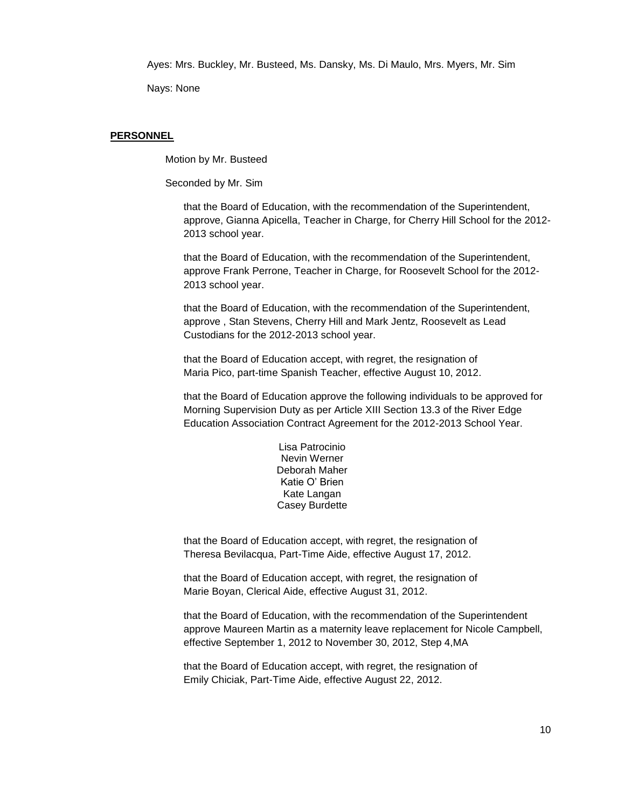Ayes: Mrs. Buckley, Mr. Busteed, Ms. Dansky, Ms. Di Maulo, Mrs. Myers, Mr. Sim

Nays: None

#### **PERSONNEL**

Motion by Mr. Busteed

Seconded by Mr. Sim

that the Board of Education, with the recommendation of the Superintendent, approve, Gianna Apicella, Teacher in Charge, for Cherry Hill School for the 2012- 2013 school year.

that the Board of Education, with the recommendation of the Superintendent, approve Frank Perrone, Teacher in Charge, for Roosevelt School for the 2012- 2013 school year.

that the Board of Education, with the recommendation of the Superintendent, approve , Stan Stevens, Cherry Hill and Mark Jentz, Roosevelt as Lead Custodians for the 2012-2013 school year.

that the Board of Education accept, with regret, the resignation of Maria Pico, part-time Spanish Teacher, effective August 10, 2012.

that the Board of Education approve the following individuals to be approved for Morning Supervision Duty as per Article XIII Section 13.3 of the River Edge Education Association Contract Agreement for the 2012-2013 School Year.

> Lisa Patrocinio Nevin Werner Deborah Maher Katie O' Brien Kate Langan Casey Burdette

that the Board of Education accept, with regret, the resignation of Theresa Bevilacqua, Part-Time Aide, effective August 17, 2012.

that the Board of Education accept, with regret, the resignation of Marie Boyan, Clerical Aide, effective August 31, 2012.

that the Board of Education, with the recommendation of the Superintendent approve Maureen Martin as a maternity leave replacement for Nicole Campbell, effective September 1, 2012 to November 30, 2012, Step 4,MA

that the Board of Education accept, with regret, the resignation of Emily Chiciak, Part-Time Aide, effective August 22, 2012.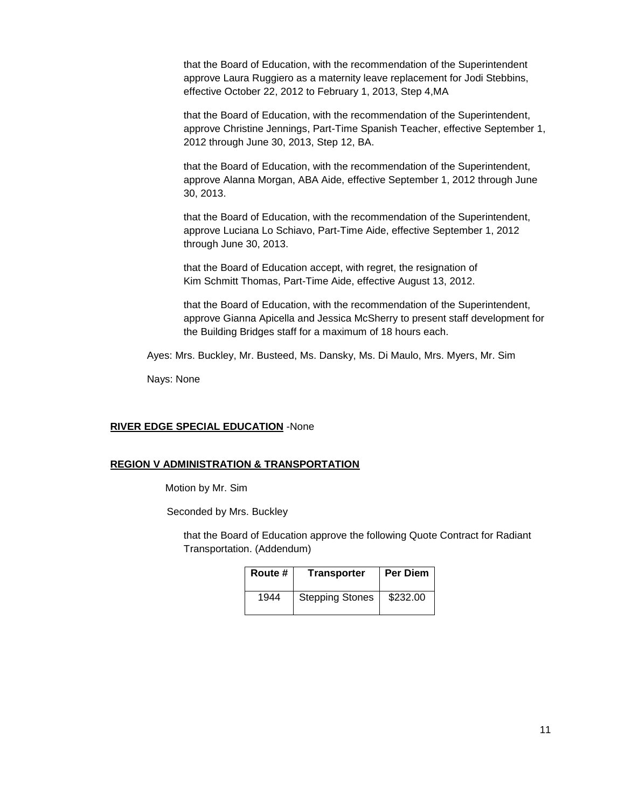that the Board of Education, with the recommendation of the Superintendent approve Laura Ruggiero as a maternity leave replacement for Jodi Stebbins, effective October 22, 2012 to February 1, 2013, Step 4,MA

that the Board of Education, with the recommendation of the Superintendent, approve Christine Jennings, Part-Time Spanish Teacher, effective September 1, 2012 through June 30, 2013, Step 12, BA.

that the Board of Education, with the recommendation of the Superintendent, approve Alanna Morgan, ABA Aide, effective September 1, 2012 through June 30, 2013.

that the Board of Education, with the recommendation of the Superintendent, approve Luciana Lo Schiavo, Part-Time Aide, effective September 1, 2012 through June 30, 2013.

that the Board of Education accept, with regret, the resignation of Kim Schmitt Thomas, Part-Time Aide, effective August 13, 2012.

that the Board of Education, with the recommendation of the Superintendent, approve Gianna Apicella and Jessica McSherry to present staff development for the Building Bridges staff for a maximum of 18 hours each.

Ayes: Mrs. Buckley, Mr. Busteed, Ms. Dansky, Ms. Di Maulo, Mrs. Myers, Mr. Sim

Nays: None

### **RIVER EDGE SPECIAL EDUCATION** -None

### **REGION V ADMINISTRATION & TRANSPORTATION**

Motion by Mr. Sim

Seconded by Mrs. Buckley

that the Board of Education approve the following Quote Contract for Radiant Transportation. (Addendum)

| Route # | <b>Transporter</b>     | <b>Per Diem</b> |
|---------|------------------------|-----------------|
| 1944    | <b>Stepping Stones</b> | \$232.00        |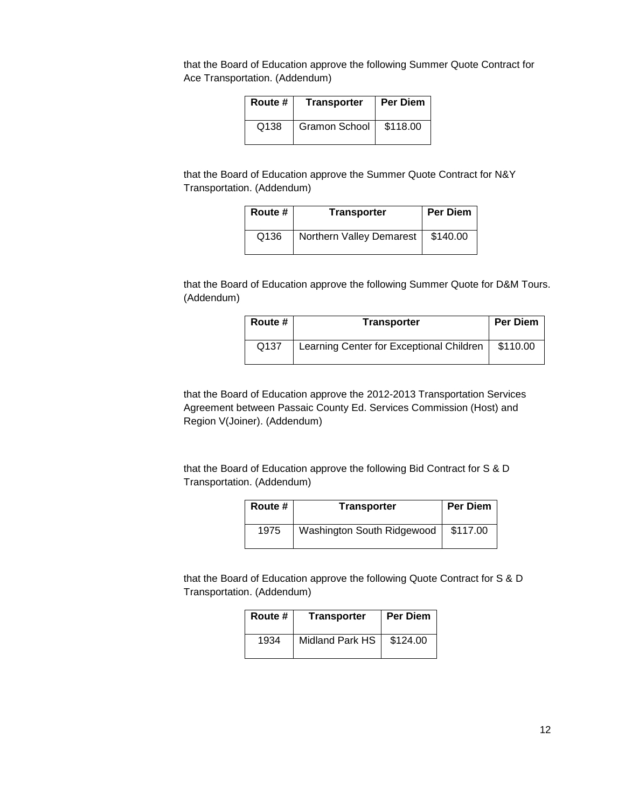that the Board of Education approve the following Summer Quote Contract for Ace Transportation. (Addendum)

| Route # | <b>Transporter</b> | <b>Per Diem</b> |
|---------|--------------------|-----------------|
| Q138    | Gramon School      | \$118.00        |

that the Board of Education approve the Summer Quote Contract for N&Y Transportation. (Addendum)

| Route # | <b>Transporter</b>       | Per Diem |
|---------|--------------------------|----------|
| Q136    | Northern Valley Demarest | \$140.00 |

that the Board of Education approve the following Summer Quote for D&M Tours. (Addendum)

| Route # | <b>Transporter</b>                       | <b>Per Diem</b> |
|---------|------------------------------------------|-----------------|
| Q137    | Learning Center for Exceptional Children | \$110.00        |

that the Board of Education approve the 2012-2013 Transportation Services Agreement between Passaic County Ed. Services Commission (Host) and Region V(Joiner). (Addendum)

that the Board of Education approve the following Bid Contract for S & D Transportation. (Addendum)

| Route # | Transporter                | <b>Per Diem</b> |
|---------|----------------------------|-----------------|
| 1975    | Washington South Ridgewood | \$117.00        |

that the Board of Education approve the following Quote Contract for S & D Transportation. (Addendum)

| Route # | <b>Transporter</b> | <b>Per Diem</b> |
|---------|--------------------|-----------------|
| 1934    | Midland Park HS    | \$124.00        |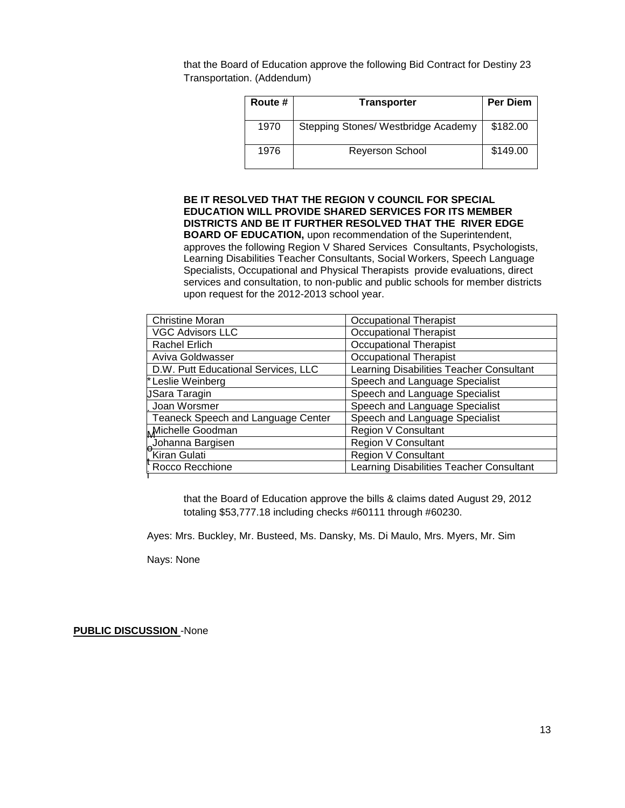that the Board of Education approve the following Bid Contract for Destiny 23 Transportation. (Addendum)

| Route # | <b>Transporter</b>                  | <b>Per Diem</b> |
|---------|-------------------------------------|-----------------|
| 1970    | Stepping Stones/ Westbridge Academy | \$182.00        |
| 1976    | <b>Reyerson School</b>              | \$149.00        |

# **BE IT RESOLVED THAT THE REGION V COUNCIL FOR SPECIAL EDUCATION WILL PROVIDE SHARED SERVICES FOR ITS MEMBER DISTRICTS AND BE IT FURTHER RESOLVED THAT THE RIVER EDGE BOARD OF EDUCATION,** upon recommendation of the Superintendent, approves the following Region V Shared Services Consultants, Psychologists, Learning Disabilities Teacher Consultants, Social Workers, Speech Language

Specialists, Occupational and Physical Therapists provide evaluations, direct services and consultation, to non-public and public schools for member districts upon request for the 2012-2013 school year.

| <b>Christine Moran</b>              | <b>Occupational Therapist</b>            |
|-------------------------------------|------------------------------------------|
| <b>VGC Advisors LLC</b>             | <b>Occupational Therapist</b>            |
| Rachel Erlich                       | <b>Occupational Therapist</b>            |
| Aviva Goldwasser                    | <b>Occupational Therapist</b>            |
| D.W. Putt Educational Services, LLC | Learning Disabilities Teacher Consultant |
| * Leslie Weinberg                   | Speech and Language Specialist           |
| JSara Taragin                       | Speech and Language Specialist           |
| Joan Worsmer                        | Speech and Language Specialist           |
| Teaneck Speech and Language Center  | Speech and Language Specialist           |
| Michelle Goodman                    | <b>Region V Consultant</b>               |
| Johanna Bargisen                    | <b>Region V Consultant</b>               |
| Kiran Gulati                        | <b>Region V Consultant</b>               |
| Rocco Recchione                     | Learning Disabilities Teacher Consultant |
|                                     |                                          |

that the Board of Education approve the bills & claims dated August 29, 2012 totaling \$53,777.18 including checks #60111 through #60230.

Ayes: Mrs. Buckley, Mr. Busteed, Ms. Dansky, Ms. Di Maulo, Mrs. Myers, Mr. Sim

Nays: None

**PUBLIC DISCUSSION** -None